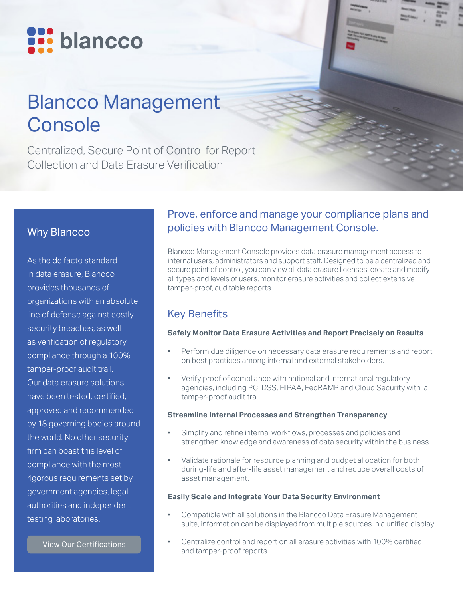

# Blancco Management **Console**

Centralized, Secure Point of Control for Report Collection and Data Erasure Verification

## Why Blancco

As the de facto standard in data erasure, Blancco provides thousands of organizations with an absolute line of defense against costly security breaches, as well as verification of regulatory compliance through a 100% tamper-proof audit trail. Our data erasure solutions have been tested, certified, approved and recommended by 18 governing bodies around the world. No other security firm can boast this level of compliance with the most rigorous requirements set by government agencies, legal authorities and independent testing laboratories.

[View Our Certifications](https://www.blancco.com/wp-content/uploads/2016/06/certifications_fact_sheet_eng.pdf)

### Prove, enforce and manage your compliance plans and policies with Blancco Management Console.

Blancco Management Console provides data erasure management access to internal users, administrators and support staff. Designed to be a centralized and secure point of control, you can view all data erasure licenses, create and modify all types and levels of users, monitor erasure activities and collect extensive tamper-proof, auditable reports.

## Key Benefits

#### **Safely Monitor Data Erasure Activities and Report Precisely on Results**

- Perform due diligence on necessary data erasure requirements and report on best practices among internal and external stakeholders.
- Verify proof of compliance with national and international regulatory agencies, including PCI DSS, HIPAA, FedRAMP and Cloud Security with a tamper-proof audit trail.

#### **Streamline Internal Processes and Strengthen Transparency**

- Simplify and refine internal workflows, processes and policies and strengthen knowledge and awareness of data security within the business.
- Validate rationale for resource planning and budget allocation for both during-life and after-life asset management and reduce overall costs of asset management.

#### **Easily Scale and Integrate Your Data Security Environment**

- Compatible with all solutions in the Blancco Data Erasure Management suite, information can be displayed from multiple sources in a unified display.
- Centralize control and report on all erasure activities with 100% certified and tamper-proof reports